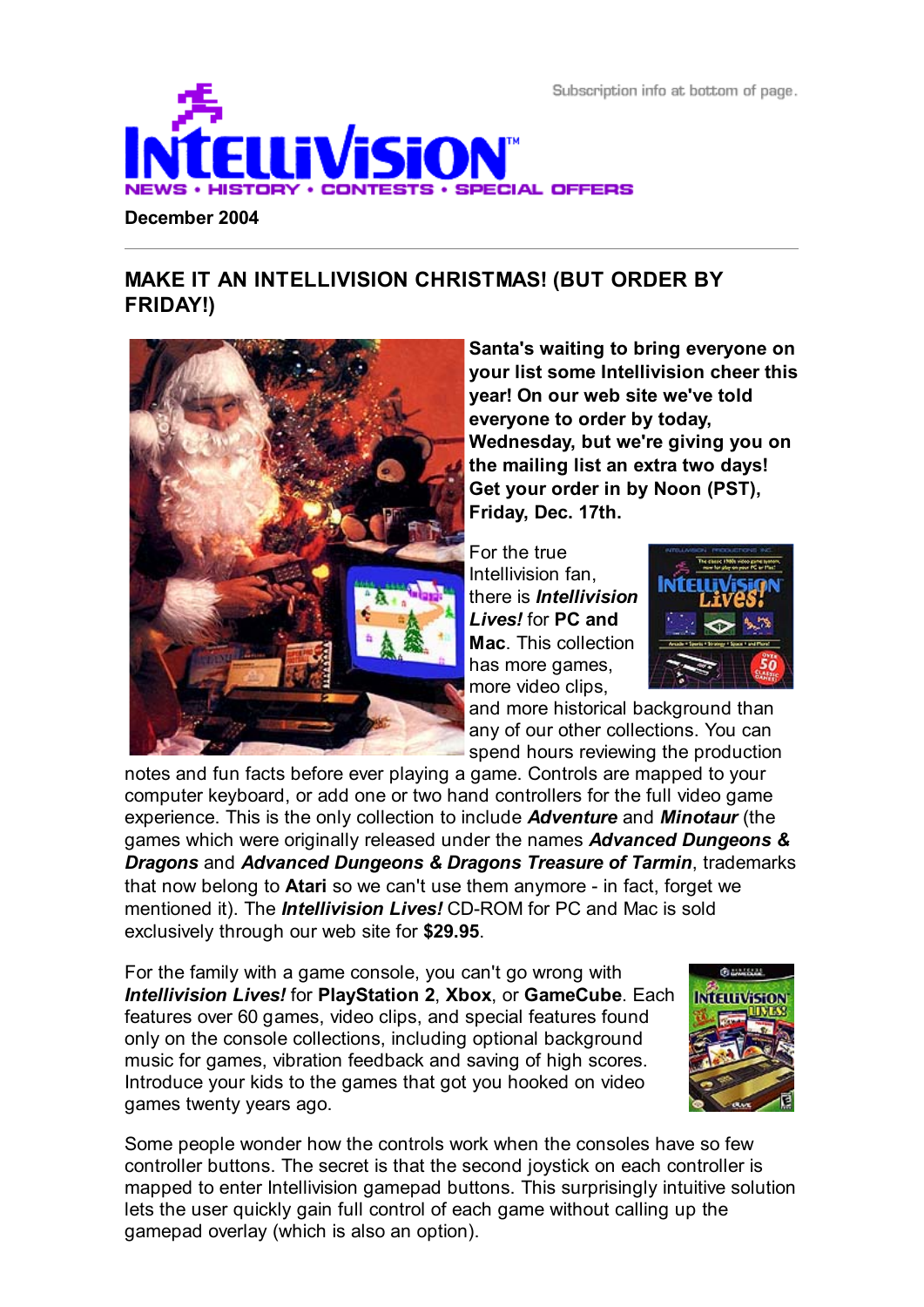Subscription info at bottom of page.



# **MAKE IT AN INTELLIVISION CHRISTMAS! (BUT ORDER BY FRIDAY!)**



**Santa's waiting to bring everyone on your list some Intellivision cheer this year! On our web site we've told everyone to order by today, Wednesday, but we're giving you on the mailing list an extra two days! Get your order in by Noon (PST), Friday, Dec. 17th.**

For the true Intellivision fan, there is *Intellivision Lives!* for **PC and Mac**. This collection has more games, more video clips,



and more historical background than any of our other collections. You can spend hours reviewing the production

notes and fun facts before ever playing a game. Controls are mapped to your computer keyboard, or add one or two hand controllers for the full video game experience. This is the only collection to include *Adventure* and *Minotaur* (the games which were originally released under the names *Advanced Dungeons & Dragons* and *Advanced Dungeons & Dragons Treasure of Tarmin*, trademarks that now belong to **Atari** so we can't use them anymore - in fact, forget we mentioned it). The *Intellivision Lives!* CD-ROM for PC and Mac is sold exclusively through our web site for **\$29.95**.

For the family with a game console, you can't go wrong with *Intellivision Lives!* for **PlayStation 2**, **Xbox**, or **GameCube**. Each features over 60 games, video clips, and special features found only on the console collections, including optional background music for games, vibration feedback and saving of high scores. Introduce your kids to the games that got you hooked on video games twenty years ago.



Some people wonder how the controls work when the consoles have so few controller buttons. The secret is that the second joystick on each controller is mapped to enter Intellivision gamepad buttons. This surprisingly intuitive solution lets the user quickly gain full control of each game without calling up the gamepad overlay (which is also an option).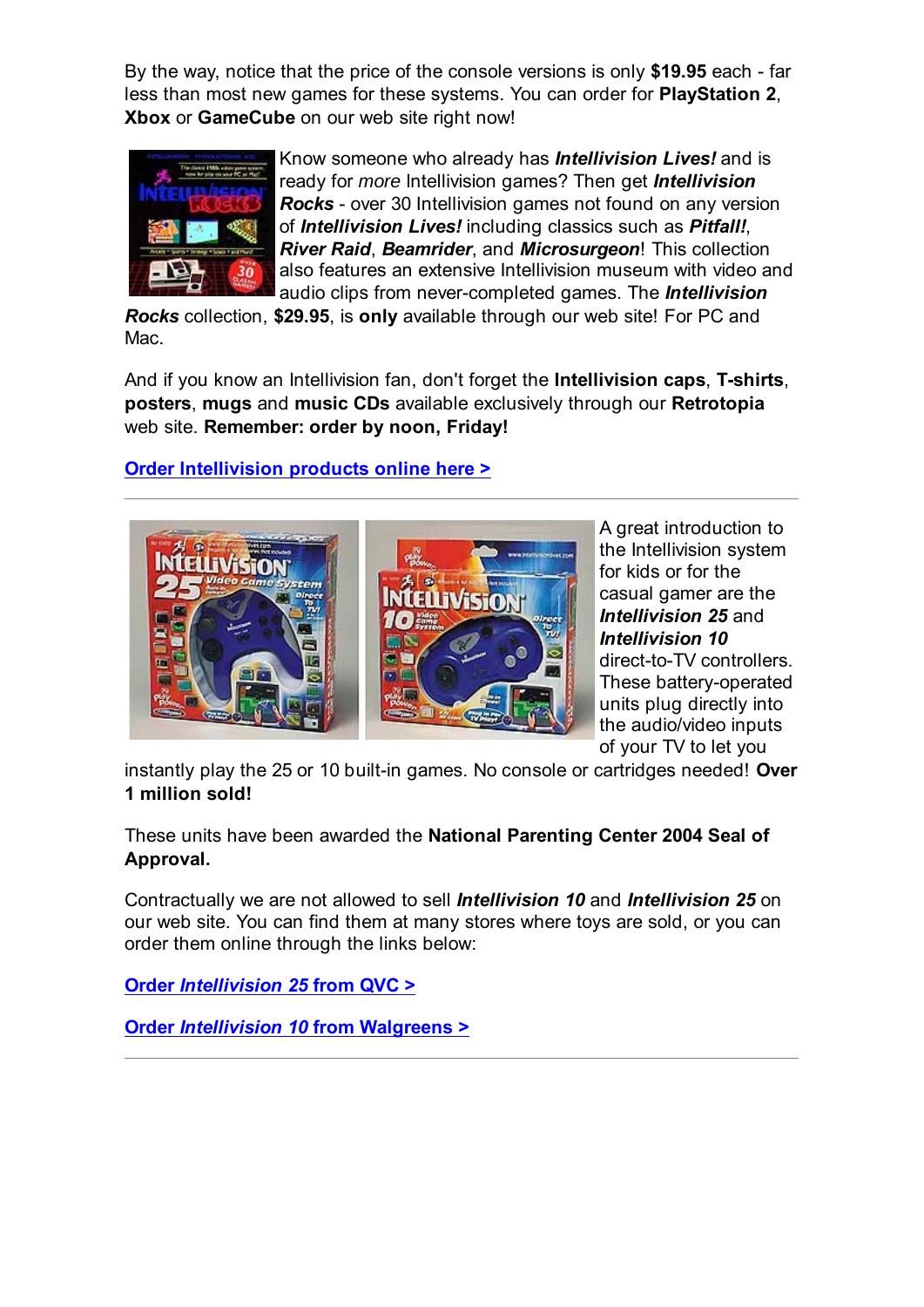By the way, notice that the price of the console versions is only **\$19.95** each - far less than most new games for these systems. You can order for **PlayStation 2**, **Xbox** or **GameCube** on our web site right now!



Know someone who already has *Intellivision Lives!* and is ready for *more* Intellivision games? Then get *Intellivision Rocks* - over 30 Intellivision games not found on any version of *Intellivision Lives!* including classics such as *Pitfall!*, *River Raid*, *Beamrider*, and *Microsurgeon*! This collection also features an extensive Intellivision museum with video and audio clips from never-completed games. The *Intellivision*

*Rocks* collection, **\$29.95**, is **only** available through our web site! For PC and Mac.

And if you know an Intellivision fan, don't forget the **Intellivision caps**, **T-shirts**, **posters**, **mugs** and **music CDs** available exclusively through our **Retrotopia** web site. **Remember: order by noon, Friday!**

## **Order Intellivision products online here >**



A great introduction to the Intellivision system for kids or for the casual gamer are the *Intellivision 25* and *Intellivision 10* direct-to-TV controllers. These battery-operated units plug directly into the audio/video inputs of your TV to let you

instantly play the 25 or 10 built-in games. No console or cartridges needed! **Over 1 million sold!**

These units have been awarded the **National Parenting Center 2004 Seal of Approval.**

Contractually we are not allowed to sell *Intellivision 10* and *Intellivision 25* on our web site. You can find them at many stores where toys are sold, or you can order them online through the links below:

**Order** *Intellivision 25* **from QVC >**

**Order** *Intellivision 10* **from Walgreens >**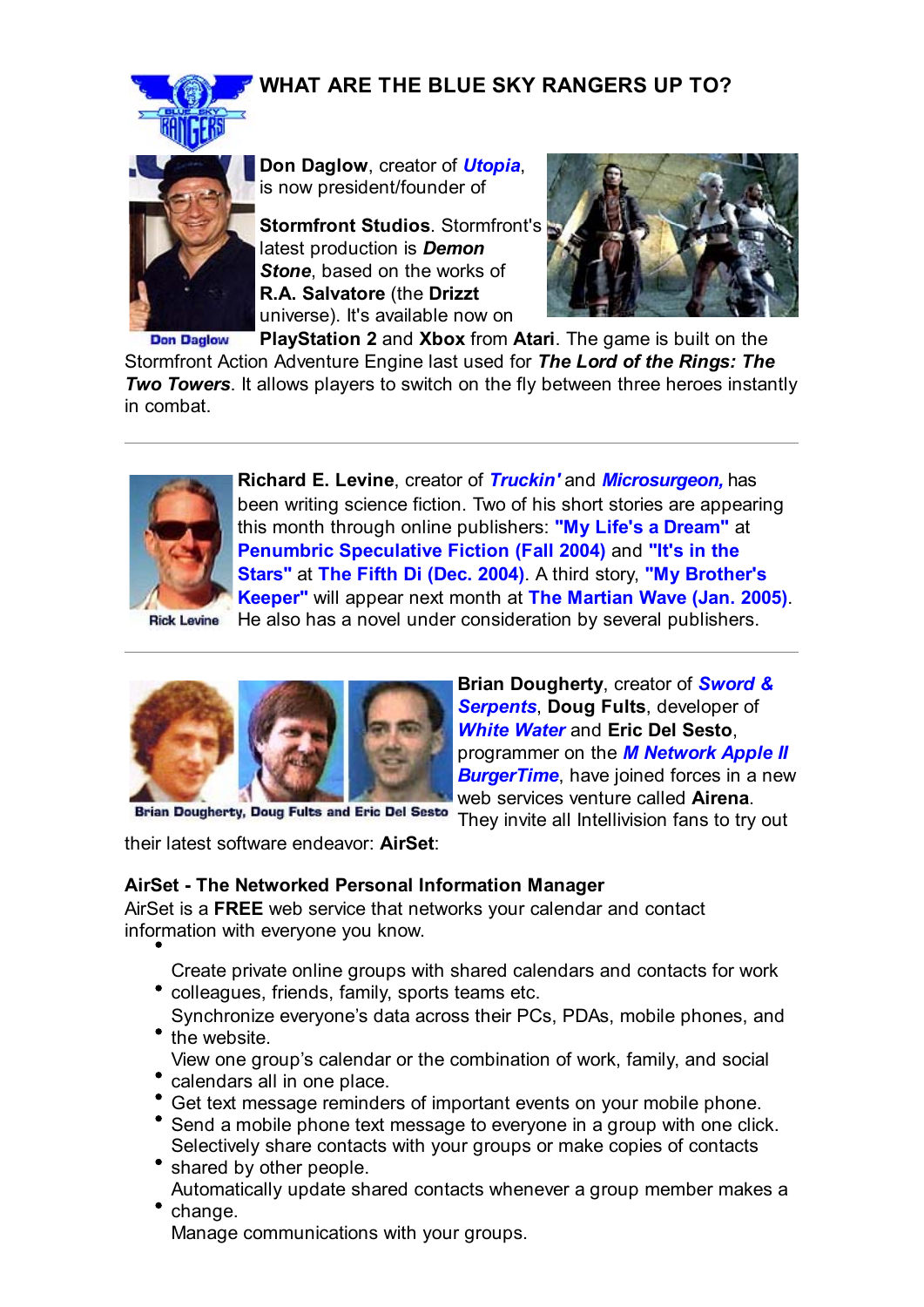# **WHAT ARE THE BLUE SKY RANGERS UP TO?**





**Don Daglow**, creator of *Utopia*, is now president/founder of

**Stormfront Studios**. Stormfront's latest production is *Demon Stone*, based on the works of **R.A. Salvatore** (the **Drizzt** universe). It's available now on



**PlayStation 2** and **Xbox** from **Atari**. The game is built on the **Don Daglow** Stormfront Action Adventure Engine last used for *The Lord of the Rings: The Two Towers.* It allows players to switch on the fly between three heroes instantly in combat.



**Richard E. Levine**, creator of *Truckin'* and *Microsurgeon,* has been writing science fiction. Two of his short stories are appearing this month through online publishers: **"My Life's a Dream"** at **Penumbric Speculative Fiction (Fall 2004)** and **"It's in the Stars"** at **The Fifth Di (Dec. 2004)**. A third story, **"My Brother's Keeper"** will appear next month at **The Martian Wave (Jan. 2005)**.

**Rick Levine** 





**Brian Dougherty**, creator of *Sword & Serpents*, **Doug Fults**, developer of *White Water* and **Eric Del Sesto**, programmer on the *M Network Apple II* **BurgerTime**, have joined forces in a new web services venture called **Airena**.

**Brian Dougherty, Doug Fults and Eric Del Sesto** 

They invite all Intellivision fans to try out

their latest software endeavor: **AirSet**:

## **AirSet - The Networked Personal Information Manager**

AirSet is a **FREE** web service that networks your calendar and contact information with everyone you know.

Create private online groups with shared calendars and contacts for work colleagues, friends, family, sports teams etc.

- Synchronize everyone's data across their PCs, PDAs, mobile phones, and • the website.
- View one group's calendar or the combination of work, family, and social
- calendars all in one place.
- Get text message reminders of important events on your mobile phone.
- Send a mobile phone text message to everyone in a group with one click. Selectively share contacts with your groups or make copies of contacts
- shared by other people. Automatically update shared contacts whenever a group member makes a
- change. Manage communications with your groups.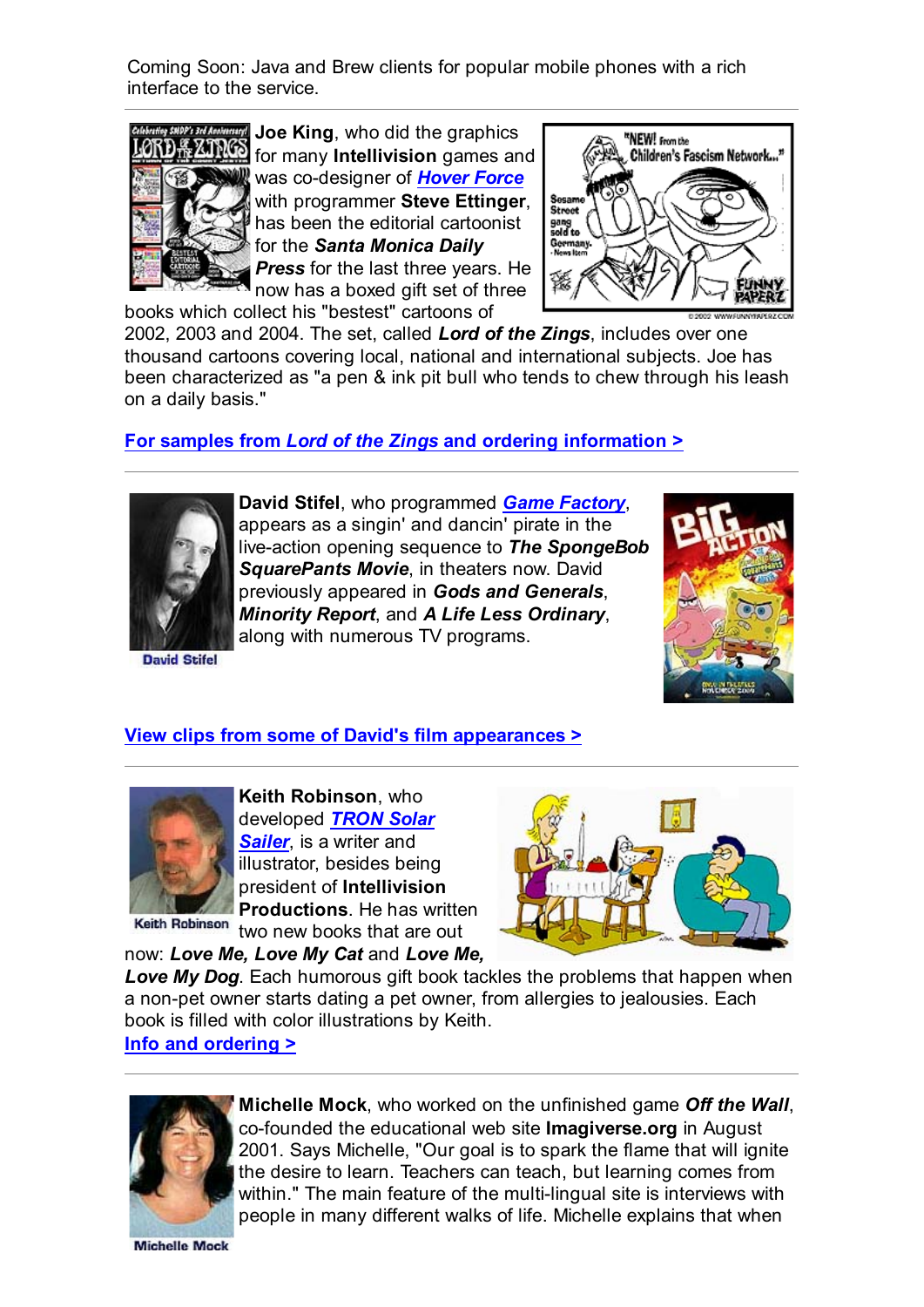Coming Soon: Java and Brew clients for popular mobile phones with a rich interface to the service.



**Joe King**, who did the graphics for many **Intellivision** games and was co-designer of *Hover Force* with programmer **Steve Ettinger**, has been the editorial cartoonist for the *Santa Monica Daily Press* for the last three years. He

now has a boxed gift set of three books which collect his "bestest" cartoons of



2002, 2003 and 2004. The set, called *Lord of the Zings*, includes over one thousand cartoons covering local, national and international subjects. Joe has been characterized as "a pen & ink pit bull who tends to chew through his leash on a daily basis."

# **For samples from** *Lord of the Zings* **and ordering information >**



**David Stifel**, who programmed *Game Factory*, appears as a singin' and dancin' pirate in the live-action opening sequence to *The SpongeBob*

**David Stifel** 

**SquarePants Movie**, in theaters now. David previously appeared in *Gods and Generals*, *Minority Report*, and *A Life Less Ordinary*, along with numerous TV programs.



### **View clips from some of David's film appearances >**



**Keith Robinson**, who developed *TRON Solar Sailer*, is a writer and illustrator, besides being president of **Intellivision Productions**. He has written

Keith Robinson two new books that are out

now: *Love Me, Love My Cat* and *Love Me,*

*Love My Dog*. Each humorous gift book tackles the problems that happen when a non-pet owner starts dating a pet owner, from allergies to jealousies. Each book is filled with color illustrations by Keith.

#### **Info and ordering >**



**Michelle Mock**, who worked on the unfinished game *Off the Wall*, co-founded the educational web site **Imagiverse.org** in August 2001. Says Michelle, "Our goal is to spark the flame that will ignite the desire to learn. Teachers can teach, but learning comes from within." The main feature of the multi-lingual site is interviews with people in many different walks of life. Michelle explains that when

**Michelle Mock**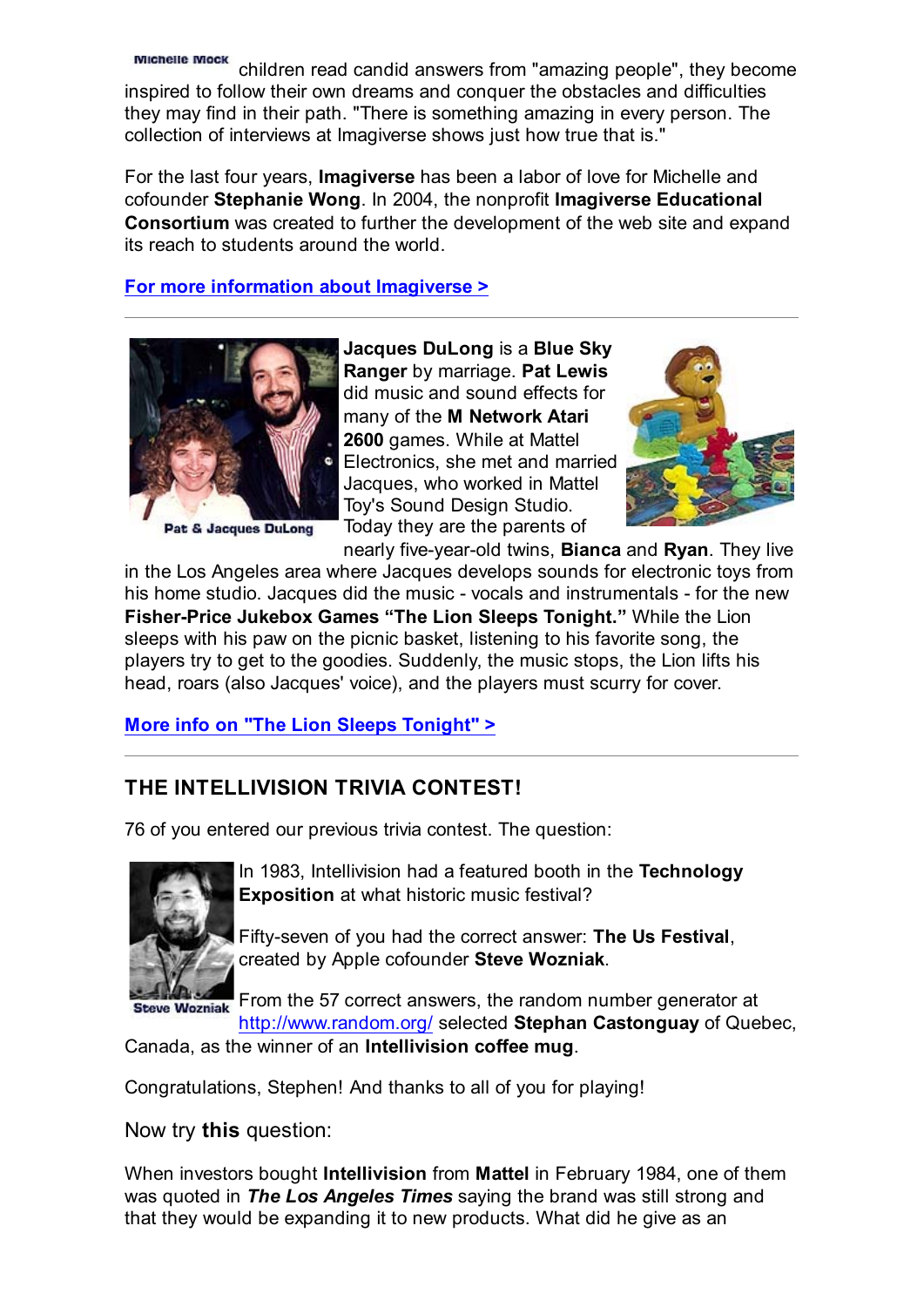Michelle Mock children read candid answers from "amazing people", they become inspired to follow their own dreams and conquer the obstacles and difficulties they may find in their path. "There is something amazing in every person. The collection of interviews at Imagiverse shows just how true that is."

For the last four years, **Imagiverse** has been a labor of love for Michelle and cofounder **Stephanie Wong**. In 2004, the nonprofit **Imagiverse Educational Consortium** was created to further the development of the web site and expand its reach to students around the world.

### **For more information about Imagiverse >**



Pat & Jacques DuLong

**Jacques DuLong** is a **Blue Sky Ranger** by marriage. **Pat Lewis** did music and sound effects for many of the **M Network Atari 2600** games. While at Mattel Electronics, she met and married Jacques, who worked in Mattel Toy's Sound Design Studio. Today they are the parents of



nearly five-year-old twins, **Bianca** and **Ryan**. They live in the Los Angeles area where Jacques develops sounds for electronic toys from his home studio. Jacques did the music - vocals and instrumentals - for the new **Fisher-Price Jukebox Games "The Lion Sleeps Tonight."** While the Lion sleeps with his paw on the picnic basket, listening to his favorite song, the players try to get to the goodies. Suddenly, the music stops, the Lion lifts his head, roars (also Jacques' voice), and the players must scurry for cover.

## **More info on "The Lion Sleeps Tonight" >**

# **THE INTELLIVISION TRIVIA CONTEST!**

76 of you entered our previous trivia contest. The question:



In 1983, Intellivision had a featured booth in the **Technology Exposition** at what historic music festival?

Fifty-seven of you had the correct answer: **The Us Festival**, created by Apple cofounder **Steve Wozniak**.

Steve Wozniak From the 57 correct answers, the random number generator at http://www.random.org/ selected **Stephan Castonguay** of Quebec,

Canada, as the winner of an **Intellivision coffee mug**.

Congratulations, Stephen! And thanks to all of you for playing!

Now try **this** question:

When investors bought **Intellivision** from **Mattel** in February 1984, one of them was quoted in *The Los Angeles Times* saying the brand was still strong and that they would be expanding it to new products. What did he give as an